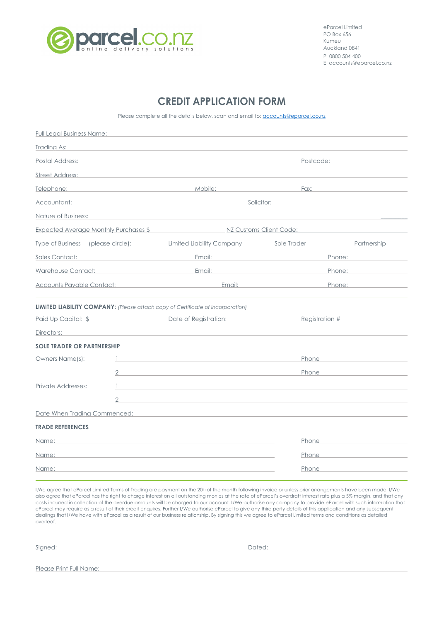

eParcel Limited PO Box 656 Kumeu Auckland 0841 P 0800 504 400 E accounts@eparcel.co.nz

## **CREDIT APPLICATION FORM**

Please complete all the details below, scan and email to: accounts@eparcel.co.nz

| <b>Full Legal Business Name:</b>                                                       |                |                                                                                           |                                                                                                                                                                                                                                |                                          |  |  |
|----------------------------------------------------------------------------------------|----------------|-------------------------------------------------------------------------------------------|--------------------------------------------------------------------------------------------------------------------------------------------------------------------------------------------------------------------------------|------------------------------------------|--|--|
| Trading As:                                                                            |                |                                                                                           |                                                                                                                                                                                                                                |                                          |  |  |
| Postal Address:                                                                        |                | Postcode:                                                                                 |                                                                                                                                                                                                                                |                                          |  |  |
| Street Address:                                                                        |                |                                                                                           |                                                                                                                                                                                                                                |                                          |  |  |
| Mobile:<br>Telephone:                                                                  |                |                                                                                           | Fax:                                                                                                                                                                                                                           |                                          |  |  |
| Accountant: Accountant:                                                                |                | Solicitor:                                                                                |                                                                                                                                                                                                                                |                                          |  |  |
| Nature of Business:                                                                    |                |                                                                                           |                                                                                                                                                                                                                                |                                          |  |  |
|                                                                                        |                | Expected Average Monthly Purchases \$ NZ Customs Client Code:                             |                                                                                                                                                                                                                                |                                          |  |  |
| Type of Business (please circle):                                                      |                | <b>Limited Liability Company</b>                                                          | Sole Trader                                                                                                                                                                                                                    | Partnership                              |  |  |
| Sales Contact:                                                                         |                |                                                                                           | Email: Email: All and the state of the state of the state of the state of the state of the state of the state of the state of the state of the state of the state of the state of the state of the state of the state of the s | Phone:<br>and the company of the company |  |  |
| Warehouse Contact:                                                                     |                | Email:                                                                                    |                                                                                                                                                                                                                                | Phone:                                   |  |  |
| <b>Accounts Payable Contact:</b> Accounts Payable Contact:                             |                | Email:                                                                                    |                                                                                                                                                                                                                                | Phone:                                   |  |  |
|                                                                                        |                |                                                                                           |                                                                                                                                                                                                                                |                                          |  |  |
| <b>LIMITED LIABILITY COMPANY:</b> (Please attach copy of Certificate of Incorporation) |                |                                                                                           |                                                                                                                                                                                                                                |                                          |  |  |
| Paid Up Capital: \$                                                                    |                | Date of Registration:                                                                     |                                                                                                                                                                                                                                | Registration #                           |  |  |
| Directors:                                                                             |                |                                                                                           |                                                                                                                                                                                                                                |                                          |  |  |
| <b>SOLE TRADER OR PARTNERSHIP</b>                                                      |                |                                                                                           |                                                                                                                                                                                                                                |                                          |  |  |
| Owners Name(s):                                                                        |                | the control of the control of the control of the control of the control of the control of | Phone                                                                                                                                                                                                                          |                                          |  |  |
|                                                                                        | $\overline{2}$ | the control of the control of the control of the control of the control of the control of | Phone                                                                                                                                                                                                                          |                                          |  |  |
| Private Addresses:                                                                     |                |                                                                                           |                                                                                                                                                                                                                                |                                          |  |  |
|                                                                                        | $\overline{2}$ |                                                                                           |                                                                                                                                                                                                                                |                                          |  |  |
|                                                                                        |                | Date When Trading Commenced: New York 1999 State When Trading Commenced:                  |                                                                                                                                                                                                                                |                                          |  |  |
| <b>TRADE REFERENCES</b>                                                                |                |                                                                                           |                                                                                                                                                                                                                                |                                          |  |  |
| Name:                                                                                  |                |                                                                                           | Phone                                                                                                                                                                                                                          |                                          |  |  |
| Name:                                                                                  |                |                                                                                           | Phone                                                                                                                                                                                                                          |                                          |  |  |
| Name:                                                                                  |                |                                                                                           | Phone                                                                                                                                                                                                                          |                                          |  |  |

I, We agree that eParcel Limited Terms of Trading are payment on the 20<sup>th</sup> of the month following invoice or unless prior arrangements have been made. I/We also agree that eParcel has the right to charge interest on all outstanding monies at the rate of eParcel's overdraft interest rate plus a 5% margin, and that any costs incurred in collection of the overdue amounts will be charged to our account. I/We authorise any company to provide eParcel with such information that eParcel may require as a result of their credit enquires. Further I/We authorise eParcel to give any third party details of this application and any subsequent dealings that I/We have with eParcel as a result of our business relationship. By signing this we agree to eParcel Limited terms and conditions as detailed overleaf.

Signed: Dated:

Please Print Full Name: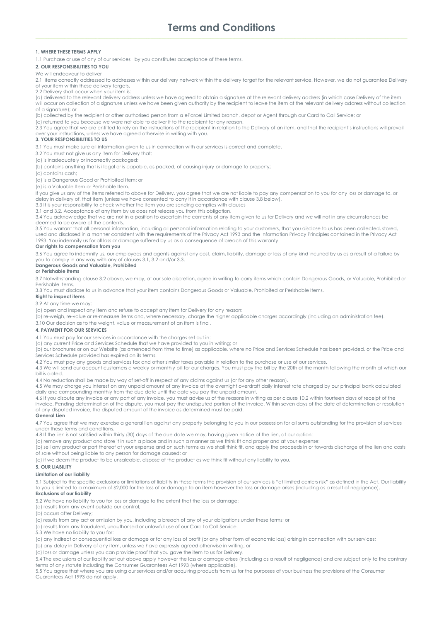# **Terms and Conditions**

#### **1. WHERE THESE TERMS APPLY**

1.1 Purchase or use of any of our services by you constitutes acceptance of these terms.

### **2. OUR RESPONSIBILITIES TO YOU**

#### We will endeavour to delive

2.1 items correctly addressed to addresses within our delivery network within the delivery target for the relevant service. However, we do not guarantee Delivery of your item within these delivery targets.

2.2 Delivery shall occur when your item is:

(a) delivered to the relevant delivery address unless we have agreed to obtain a signature at the relevant delivery address (in which case Delivery of the item will occur on collection of a signature unless we have been given authority by the recipient to leave the item at the relevant delivery address without collection

of a signature); or (b) collected by the recipient or other authorised person from a eParcel Limited branch, depot or Agent through our Card to Call Service; or

(c) returned to you because we were not able to deliver it to the recipient for any reason.

2.3 You agree that we are entitled to rely on the instructions of the recipient in relation to the Delivery of an item, and that the recipient's instructions will prevail over your instructions, unless we have agreed otherwise in writing with you.

#### **3. YOUR RESPONSIBILITIES TO US**

3.1 You must make sure all information given to us in connection with our services is correct and complete.

3.2 You must not give us any item for Delivery that:

(a) is inadequately or incorrectly packaged;

(b) contains anything that is illegal or is capable, as packed, of causing injury or damage to property;

(c) contains cash;

(d) is a Dangerous Good or Prohibited Item; or

(e) is a Valuable Item or Perishable Item.

If you give us any of the items referred to above for Delivery, you agree that we are not liable to pay any compensation to you for any loss or damage to, or delay in delivery of, that item (unless we have consented to carry it in accordance with clause 3.8 below).

3.3 It is your responsibility to check whether the item you are sending complies with clauses

3.1 and 3.2. Acceptance of any item by us does not release you from this obligation. 3.4 You acknowledge that we are not in a position to ascertain the contents of any item given to us for Delivery and we will not in any circumstances be

deemed to be aware of the contents.

3.5 You warrant that all personal information, including all personal information relating to your customers, that you disclose to us has been collected, stored, used and disclosed in a manner consistent with the requirements of the Privacy Act 1993 and the Information Privacy Principles contained in the Privacy Act 1993. You indemnify us for all loss or damage suffered by us as a consequence of breach of this warranty.

### **Our rights to compensation from you**

3.6 You agree to indemnify us, our employees and agents against any cost, claim, liability, damage or loss of any kind incurred by us as a result of a failure by you to comply in any way with any of clauses 3.1, 3.2 and/or 3.3.

#### **Dangerous Goods and Valuable, Prohibited**

### **or Perishable Items**

3.7 Notwithstanding clause 3.2 above, we may, at our sole discretion, agree in writing to carry items which contain Dangerous Goods, or Valuable, Prohibited or Perishable Items.

3.8 You must disclose to us in advance that your item contains Dangerous Goods or Valuable, Prohibited or Perishable Items.

## **Right to inspect items**

3.9 At any time we may:

(a) open and inspect any item and refuse to accept any item for Delivery for any reason;

(b) re-weigh, re-value or re-measure items and, where necessary, charge the higher applicable charges accordingly (including an administration fee).

#### 3.10 Our decision as to the weight, value or measurement of an item is final.

#### **4. PAYMENT FOR OUR SERVICES**

4.1 You must pay for our services in accordance with the charges set out in:

(a) any current Price and Services Schedule that we have provided to you in writing; or

(b) our brochures or on our Website (as amended from time to time) as applicable, where no Price and Services Schedule has been provided, or the Price and Services Schedule provided has expired on its terms.

4.2 You must pay any goods and services tax and other similar taxes payable in relation to the purchase or use of our services.

4.3 We will send our account customers a weekly or monthly bill for our charges. You must pay the bill by the 20th of the month following the month at which our bill is dated.

4.4 No reduction shall be made by way of set-off in respect of any claims against us (or for any other reason).

4.5 We may charge you interest on any unpaid amount of any invoice at the overnight overdraft daily interest rate charged by our principal bank calculated<br>daily and compounding monthly from the due date until the date you

4.6 If you dispute any invoice or any part of any invoice, you must advise us of the reasons in writing as per clause 10.2 within fourteen days of receipt of the invoice. Pending determination of the dispute, you must pay the undisputed portion of the invoice. Within seven days of the date of determination or resolution of any disputed invoice, the disputed amount of the invoice as determined must be paid.

#### **General Lien**

4.7 You agree that we may exercise a general lien against any property belonging to you in our possession for all sums outstanding for the provision of services under these terms and conditions.

4.8 If the lien is not satisfied within thirty (30) days of the due date we may, having given notice of the lien, at our option:

(a) remove any product and store it in such a place and in such a manner as we think fit and proper and at your expense;

(b) sell any product or part thereof at your expense and on such terms as we shall think fit, and apply the proceeds in or towards discharge of the lien and costs of sale without being liable to any person for damage caused; or

(c) if we deem the product to be unsaleable, dispose of the product as we think fit without any liability to you.

#### **5. OUR LIABILITY**

#### **Limitation of our liability**

5.1 Subject to the specific exclusions or limitations of liability in these terms the provision of our services is "at limited carriers risk" as defined in the Act. Our liability to you is limited to a maximum of \$2,000 for the loss of or damage to an item however the loss or damage arises (including as a result of negligence). **Exclusions of our liability** 

5.2 We have no liability to you for loss or damage to the extent that the loss or damage:

(a) results from any event outside our control;

(b) occurs after Delivery;

(c) results from any act or omission by you, including a breach of any of your obligations under these terms; or

(d) results from any fraudulent, unauthorised or unlawful use of our Card to Call Service.

5.3 We have no liability to you for:

(a) any indirect or consequential loss or damage or for any loss of profit (or any other form of economic loss) arising in connection with our services;

(b) any delay in Delivery of any item, unless we have expressly agreed otherwise in writing; or

(c) loss or damage unless you can provide proof that you gave the item to us for Delivery.

5.4 The exclusions of our liability set out above apply however the loss or damage arises (including as a result of negligence) and are subject only to the contrary

terms of any statute including the Consumer Guarantees Act 1993 (where applicable).<br>5.5 You agree that where you are using our services and/or acquiring products from us for the purposes of your business the provisions of Guarantees Act 1993 do not apply.